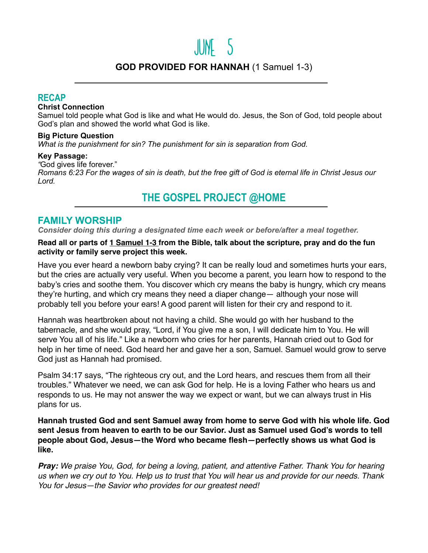# June 5

# **GOD PROVIDED FOR HANNAH** (1 Samuel 1-3)

### **RECAP**

#### **Christ Connection**

Samuel told people what God is like and what He would do. Jesus, the Son of God, told people about God's plan and showed the world what God is like.

#### **Big Picture Question**

*What is the punishment for sin? The punishment for sin is separation from God.*

#### **Key Passage:**

*"*God gives life forever."

*Romans 6:23 For the wages of sin is death, but the free gift of God is eternal life in Christ Jesus our Lord.*

# **THE GOSPEL PROJECT @HOME**

## **FAMILY WORSHIP**

*Consider doing this during a designated time each week or before/after a meal together.*

#### **Read all or parts of 1 Samuel 1-3 from the Bible, talk about the scripture, pray and do the fun activity or family serve project this week.**

Have you ever heard a newborn baby crying? It can be really loud and sometimes hurts your ears, but the cries are actually very useful. When you become a parent, you learn how to respond to the baby's cries and soothe them. You discover which cry means the baby is hungry, which cry means they're hurting, and which cry means they need a diaper change— although your nose will probably tell you before your ears! A good parent will listen for their cry and respond to it.

Hannah was heartbroken about not having a child. She would go with her husband to the tabernacle, and she would pray, "Lord, if You give me a son, I will dedicate him to You. He will serve You all of his life." Like a newborn who cries for her parents, Hannah cried out to God for help in her time of need. God heard her and gave her a son, Samuel. Samuel would grow to serve God just as Hannah had promised.

Psalm 34:17 says, "The righteous cry out, and the Lord hears, and rescues them from all their troubles." Whatever we need, we can ask God for help. He is a loving Father who hears us and responds to us. He may not answer the way we expect or want, but we can always trust in His plans for us.

**Hannah trusted God and sent Samuel away from home to serve God with his whole life. God sent Jesus from heaven to earth to be our Savior. Just as Samuel used God's words to tell people about God, Jesus—the Word who became flesh—perfectly shows us what God is like.** 

*Pray: We praise You, God, for being a loving, patient, and attentive Father. Thank You for hearing us when we cry out to You. Help us to trust that You will hear us and provide for our needs. Thank You for Jesus—the Savior who provides for our greatest need!*